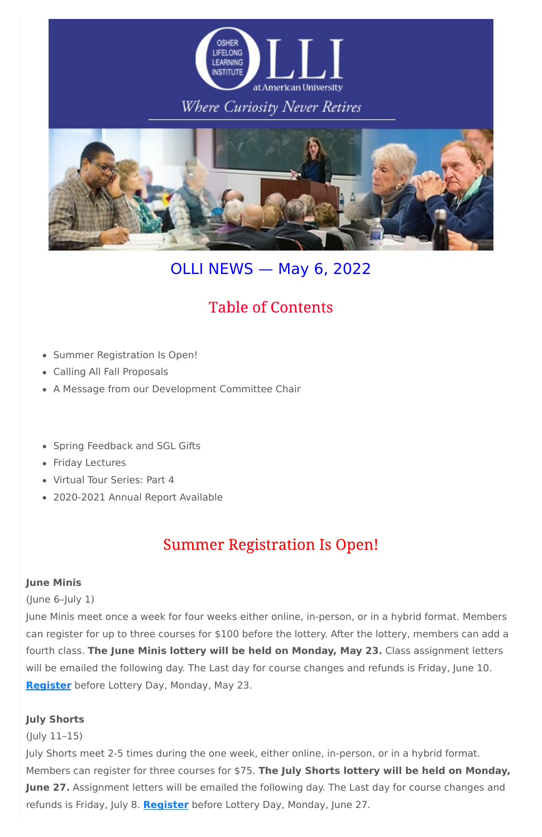

### Where Curiosity Never Retires



# OLLI NEWS — May 6, 2022

### **Table of Contents**

- Summer Registration Is Open!  $\bullet$
- Calling All Fall Proposals
- A Message from our Development Committee Chair
- Spring Feedback and SGL Gifts  $\bullet$
- Friday Lectures
- Virtual Tour Series: Part 4
- 2020-2021 Annual Report Available

### **Summer Registration Is Open!**

#### **June Minis**

(June 6–July 1)

June Minis meet once a week for four weeks either online, in-person, or in a hybrid format. Members can register for up to three courses for \$100 before the lottery. After the lottery, members can add a fourth class. **The June Minis lottery will be held on Monday, May 23.** Class assignment letters will be emailed the following day. The Last day for course changes and refunds is Friday, June 10. **[Register](http://www.olli-dc.org/register_for_study_groups)** before Lottery Day, Monday, May 23.

#### **July Shorts**

(July 11–15)

July Shorts meet 2-5 times during the one week, either online, in-person, or in a hybrid format. Members can register for three courses for \$75. **The July Shorts lottery will be held on Monday, June 27.** Assignment letters will be emailed the following day. The Last day for course changes and refunds is Friday, July 8. **[Register](http://www.olli-dc.org/shorts_courses_registration)** before Lottery Day, Monday, June 27.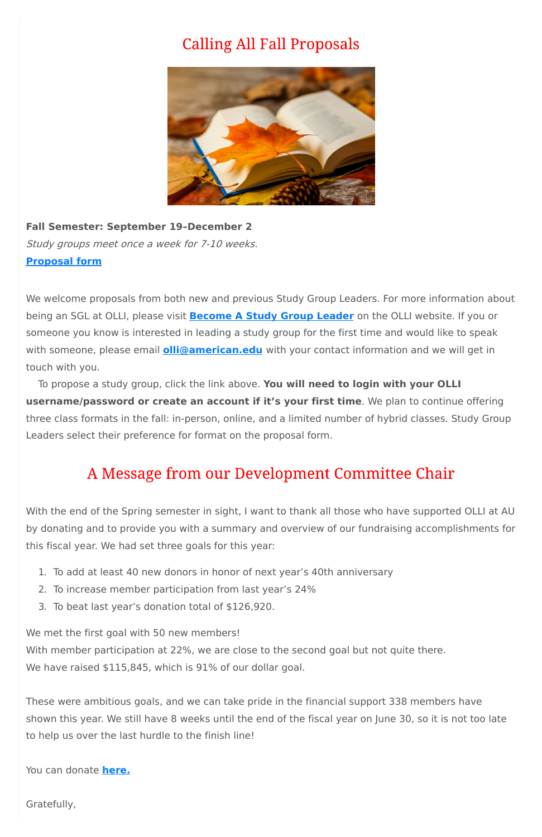### **Calling All Fall Proposals**



**Fall Semester: September 19–December 2** Study groups meet once <sup>a</sup> week for 7-10 weeks. **[Proposal](https://www.olli-dc.org/studygroupform) form**

We welcome proposals from both new and previous Study Group Leaders. For more information about being an SGL at OLLI, please visit **[Become](https://www.olli-dc.org/become_a_study_group_leader) A Study Group Leader** on the OLLI website. If you or someone you know is interested in leading a study group for the first time and would like to speak with someone, please email **[olli@american.edu](mailto:olli@american.edu)** with your contact information and we will get in touch with you.

With member participation at 22%, we are close to the second goal but not quite there. We have raised \$115,845, which is 91% of our dollar goal.

To propose a study group, click the link above. **You will need to login with your OLLI username/password or create an account if it's your first time**. We plan to continue offering three class formats in the fall: in-person, online, and a limited number of hybrid classes. Study Group Leaders select their preference for format on the proposal form.

### A Message from our Development Committee Chair

With the end of the Spring semester in sight, I want to thank all those who have supported OLLI at AU by donating and to provide you with a summary and overview of our fundraising accomplishments for this fiscal year. We had set three goals for this year:

- 1. To add at least 40 new donors in honor of next year's 40th anniversary
- 2. To increase member participation from last year's 24%
- 3. To beat last year's donation total of \$126,920.

We met the first goal with 50 new members!

These were ambitious goals, and we can take pride in the financial support 338 members have shown this year. We still have 8 weeks until the end of the fiscal year on June 30, so it is not too late to help us over the last hurdle to the finish line!

You can donate **[here.](https://www.olli-dc.org/donate)**

Gratefully,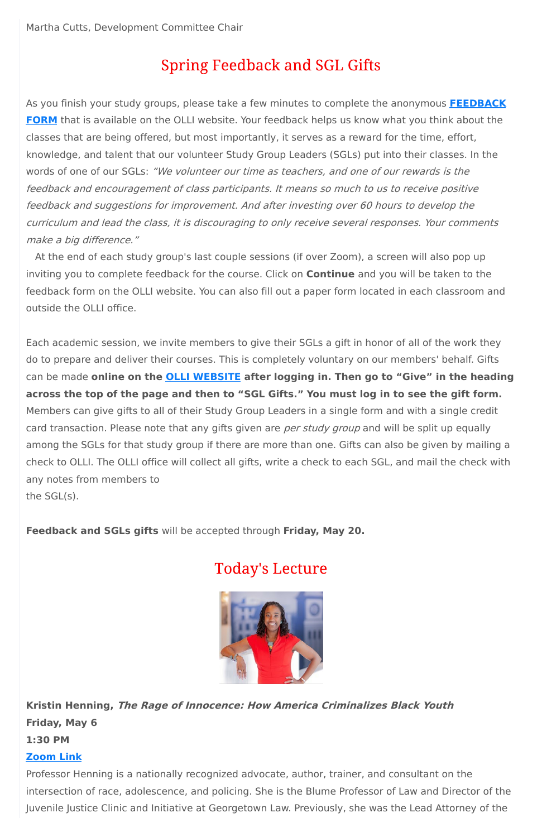## **Spring Feedback and SGL Gifts**

As you finish your study groups, please take a few minutes to complete the anonymous **[FEEDBACK](https://www.olli-dc.org/finalfeedbackform) FORM** that is available on the OLLI website. Your feedback helps us know what you think about the classes that are being offered, but most importantly, it serves as a reward for the time, effort, knowledge, and talent that our volunteer Study Group Leaders (SGLs) put into their classes. In the words of one of our SGLs: "We volunteer our time as teachers, and one of our rewards is the feedback and encouragement of class participants. It means so much to us to receive positive feedback and suggestions for improvement. And after investing over 60 hours to develop the curriculum and lead the class, it is discouraging to only receive several responses. Your comments make <sup>a</sup> big difference."

At the end of each study group's last couple sessions (if over Zoom), a screen will also pop up inviting you to complete feedback for the course. Click on **Continue** and you will be taken to the feedback form on the OLLI website. You can also fill out a paper form located in each classroom and outside the OLLI office.

Each academic session, we invite members to give their SGLs a gift in honor of all of the work they do to prepare and deliver their courses. This is completely voluntary on our members' behalf. Gifts can be made **online on the OLLI [WEBSITE](https://olli-dc.org/MyAccount/Logon) after logging in. Then go to "Give" in the heading** across the top of the page and then to "SGL Gifts." You must log in to see the gift form. Members can give gifts to all of their Study Group Leaders in a single form and with a single credit card transaction. Please note that any gifts given are *per study group* and will be split up equally among the SGLs for that study group if there are more than one. Gifts can also be given by mailing a check to OLLI. The OLLI office will collect all gifts, write a check to each SGL, and mail the check with any notes from members to the SGL(s).

**Feedback and SGLs gifts** will be accepted through **Friday, May 20.**

### **Today's Lecture**



### **Kristin Henning, The Rage of Innocence: How America Criminalizes Black Youth Friday, May 6 1:30 PM**

#### **[Zoom](https://olli-dc-org.zoom.us/j/95941610569?pwd=eUhpTHJ4ZjRiYlZXU1poRVhGdkhOUT09) Link**

Professor Henning is a nationally recognized advocate, author, trainer, and consultant on the intersection of race, adolescence, and policing. She is the Blume Professor of Law and Director of the Juvenile Justice Clinic and Initiative at Georgetown Law. Previously, she was the Lead Attorney of the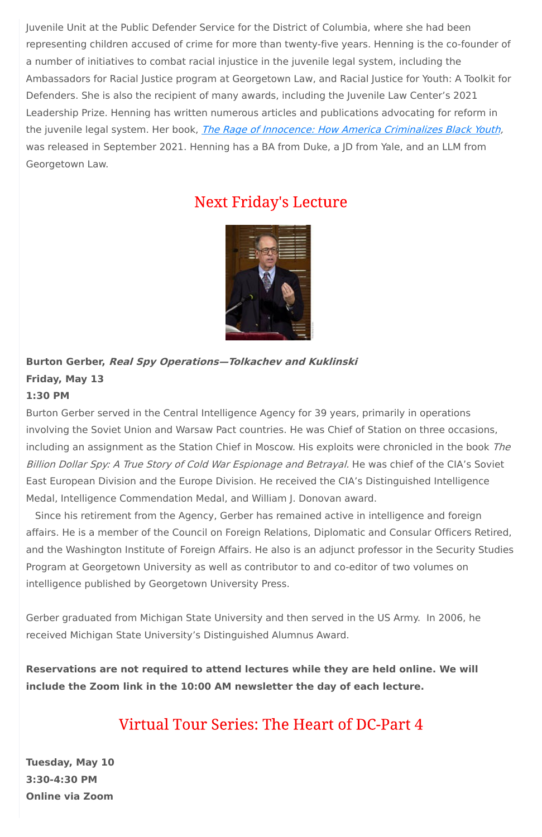Juvenile Unit at the Public Defender Service for the District of Columbia, where she had been representing children accused of crime for more than twenty-five years. Henning is the co-founder of a number of initiatives to combat racial injustice in the juvenile legal system, including the Ambassadors for Racial Justice program at Georgetown Law, and Racial Justice for Youth: A Toolkit for Defenders. She is also the recipient of many awards, including the Juvenile Law Center's 2021 Leadership Prize. Henning has written numerous articles and publications advocating for reform in the juvenile legal system. Her book, *The Rage of Innocence: How America [Criminalizes](https://www.penguinrandomhouse.com/books/623467/the-rage-of-innocence-by-kristin-henning/9781524748906?ref=PRH0A7A42D11B&aid=13521&linkid=PRH0A7A42D11B) Black Youth*, was released in September 2021. Henning has a BA from Duke, a JD from Yale, and an LLM from Georgetown Law.

### **Next Friday's Lecture**



# **Burton Gerber, Real Spy Operations—Tolkachev and Kuklinski**

### **Friday, May 13**

#### **1:30 PM**

Burton Gerber served in the Central Intelligence Agency for 39 years, primarily in operations involving the Soviet Union and Warsaw Pact countries. He was Chief of Station on three occasions, including an assignment as the Station Chief in Moscow. His exploits were chronicled in the book The Billion Dollar Spy: A True Story of Cold War Espionage and Betrayal. He was chief of the CIA's Soviet East European Division and the Europe Division. He received the CIA's Distinguished Intelligence Medal, Intelligence Commendation Medal, and William J. Donovan award.

Since his retirement from the Agency, Gerber has remained active in intelligence and foreign affairs. He is a member of the Council on Foreign Relations, Diplomatic and Consular Officers Retired, and the Washington Institute of Foreign Affairs. He also is an adjunct professor in the Security Studies Program at Georgetown University as well as contributor to and co-editor of two volumes on intelligence published by Georgetown University Press.

Gerber graduated from Michigan State University and then served in the US Army. In 2006, he received Michigan State University's Distinguished Alumnus Award.

**Reservations are not required to attend lectures while they are held online. We will include the Zoom link in the 10:00 AM newsletter the day of each lecture.**

### Virtual Tour Series: The Heart of DC-Part 4

**Tuesday, May 10**

**3:30-4:30 PM**

**Online via Zoom**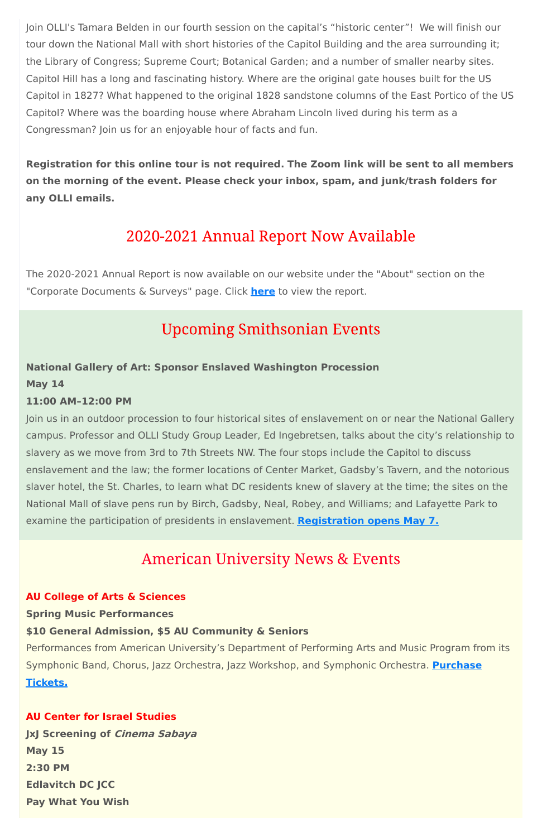Join OLLI's Tamara Belden in our fourth session on the capital's "historic center"! We will finish our tour down the National Mall with short histories of the Capitol Building and the area surrounding it; the Library of Congress; Supreme Court; Botanical Garden; and a number of smaller nearby sites. Capitol Hill has a long and fascinating history. Where are the original gate houses built for the US Capitol in 1827? What happened to the original 1828 sandstone columns of the East Portico of the US Capitol? Where was the boarding house where Abraham Lincoln lived during his term as a Congressman? Join us for an enjoyable hour of facts and fun.

**Registration for this online tour is not required. The Zoom link will be sent to all members on the morning of the event. Please check your inbox, spam, and junk/trash folders for any OLLI emails.**

### 2020-2021 Annual Report Now Available

The 2020-2021 Annual Report is now available on our website under the "About" section on the "Corporate Documents & Surveys" page. Click **[here](https://www.olli-dc.org/uploads/PDFs/Annual_Report/2020-21-annual-report.pdf)** to view the report.

### **Upcoming Smithsonian Events**

### **National Gallery of Art: Sponsor Enslaved Washington Procession**

#### **May 14**

#### **11:00 AM–12:00 PM**

Join us in an outdoor procession to four historical sites of enslavement on or near the National Gallery campus. Professor and OLLI Study Group Leader, Ed Ingebretsen, talks about the city's relationship to slavery as we move from 3rd to 7th Streets NW. The four stops include the Capitol to discuss enslavement and the law; the former locations of Center Market, Gadsby's Tavern, and the notorious slaver hotel, the St. Charles, to learn what DC residents knew of slavery at the time; the sites on the National Mall of slave pens run by Birch, Gadsby, Neal, Robey, and Williams; and Lafayette Park to examine the participation of presidents in enslavement. **[Registration](https://www.nga.gov/calendar/guided-tours/afro-atlantic-histories/procession-enslaved-washington.html) opens May 7.**

### **American University News & Events**

**AU College of Arts & Sciences Spring Music Performances**

#### **\$10 General Admission, \$5 AU Community & Seniors**

Performances from American University's Department of Performing Arts and Music Program from its Symphonic Band, Chorus, Jazz Orchestra, Jazz Workshop, and [Symphonic](https://auartstix.universitytickets.com/w/?cid=168) Orchestra. **Purchase Tickets.**

**AU Center for Israel Studies**

**JxJ Screening of Cinema Sabaya**

**May 15**

**2:30 PM**

**Edlavitch DC JCC**

**Pay What You Wish**